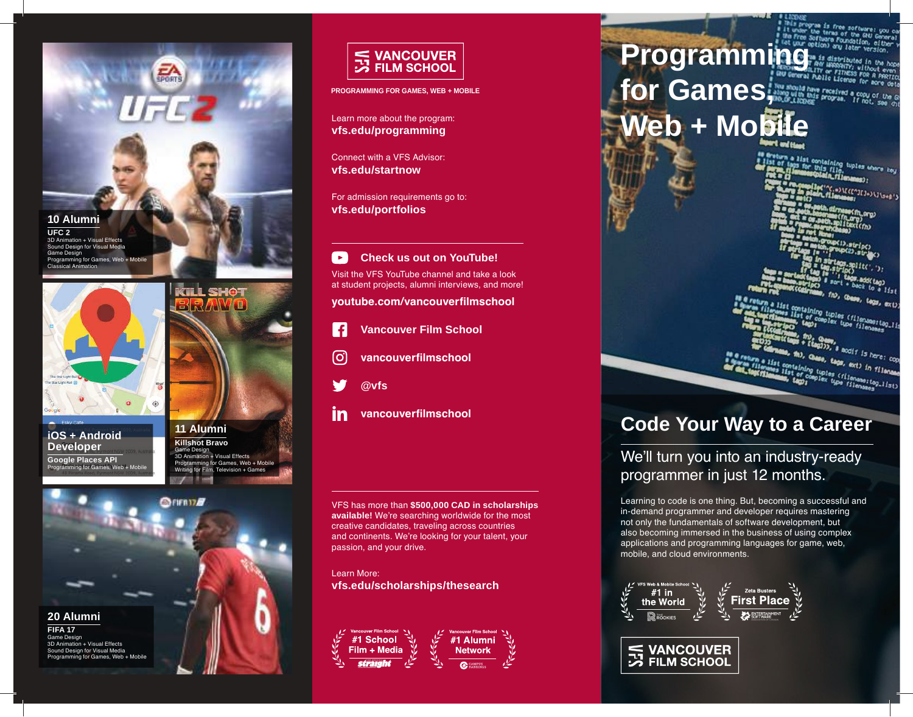



**iOS + Android Developer Google Places API** o for Games, Web + Mobi



**GILL SHOT** 





**PROGRAMMING FOR GAMES, WEB + MOBILE**

Learn more about the program: **vfs.edu/programming**

Connect with a VFS Advisor: **vfs.edu/startnow**

For admission requirements go to: **vfs.edu/portfolios**

 $\rightarrow$ **Check us out on YouTube!** Visit the VFS YouTube channel and take a look at student projects, alumni interviews, and more!

**youtube.com/vancouverfilmschool**

- $\vert f \vert$ **Vancouver Film School**
- တြ **vancouverfilmschool**
- **@vfs**
- in **vancouverfilmschool**

VFS has more than **\$500,000 CAD in scholarships available!** We're searching worldwide for the most creative candidates, traveling across countries and continents. We're looking for your talent, your passion, and your drive.

Learn More: **vfs.edu/scholarships/thesearch**



# **Programming for Games, Web + Mobile**

n a list containing tuples where key<br>Tiaps for this file, tuples where key<br>**Container profile fileness**);<br>**R. Fo.compliat** over the manage;

Millen Ween JEJ+ > Wisser

t containing tuples (filemameriag.li)<br>Mist of complex tupe filemameriag.li<br>Mist (mist)<br>Mist, fra s<br>**Sandif is here: cop**<br>Mas. mus.

m a list containing tags, tags, axt) in Tilename<br>Itenames containing tuples (filename) in Tilename<br>Millenames, tags (filename:top) ist)

## **Code Your Way to a Career**

## We'll turn you into an industry-ready programmer in just 12 months.

Learning to code is one thing. But, becoming a successful and in-demand programmer and developer requires mastering not only the fundamentals of software development, but also becoming immersed in the business of using complex applications and programming languages for game, web, mobile, and cloud environments.